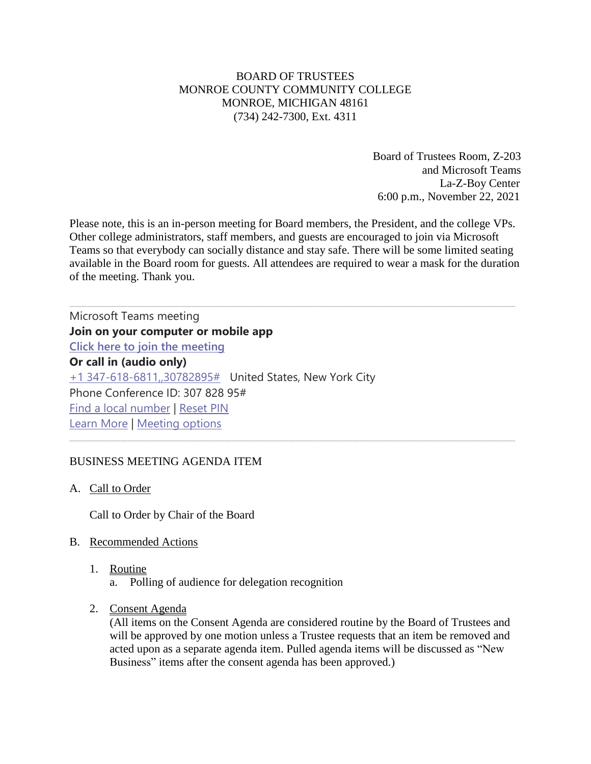# BOARD OF TRUSTEES MONROE COUNTY COMMUNITY COLLEGE MONROE, MICHIGAN 48161 (734) 242-7300, Ext. 4311

Board of Trustees Room, Z-203 and Microsoft Teams La-Z-Boy Center 6:00 p.m., November 22, 2021

Please note, this is an in-person meeting for Board members, the President, and the college VPs. Other college administrators, staff members, and guests are encouraged to join via Microsoft Teams so that everybody can socially distance and stay safe. There will be some limited seating available in the Board room for guests. All attendees are required to wear a mask for the duration of the meeting. Thank you.

Microsoft Teams meeting **Join on your computer or mobile app [Click here to join the meeting](https://teams.microsoft.com/l/meetup-join/19%3ameeting_YjdiY2VkN2ItM2JkYi00ZDQyLTlhYmItZGYzZGUyODYzOGEy%40thread.v2/0?context=%7b%22Tid%22%3a%2276f58c37-4ccb-4953-8754-48d3ac2857e6%22%2c%22Oid%22%3a%22cfa62792-2f83-486c-8009-c76a92253031%22%7d) Or call in (audio only)** [+1 347-618-6811,,30782895#](tel:+13476186811,,30782895# ) United States, New York City Phone Conference ID: 307 828 95# [Find a local number](https://dialin.teams.microsoft.com/0a5b3283-82d4-44a2-a3da-3e0ac96718dd?id=30782895) | [Reset PIN](https://mysettings.lync.com/pstnconferencing) [Learn More](https://aka.ms/JoinTeamsMeeting) | [Meeting options](https://teams.microsoft.com/meetingOptions/?organizerId=cfa62792-2f83-486c-8009-c76a92253031&tenantId=76f58c37-4ccb-4953-8754-48d3ac2857e6&threadId=19_meeting_YjdiY2VkN2ItM2JkYi00ZDQyLTlhYmItZGYzZGUyODYzOGEy@thread.v2&messageId=0&language=en-US)

## BUSINESS MEETING AGENDA ITEM

## A. Call to Order

Call to Order by Chair of the Board

## B. Recommended Actions

- 1. Routine
	- a. Polling of audience for delegation recognition
- 2. Consent Agenda

(All items on the Consent Agenda are considered routine by the Board of Trustees and will be approved by one motion unless a Trustee requests that an item be removed and acted upon as a separate agenda item. Pulled agenda items will be discussed as "New Business" items after the consent agenda has been approved.)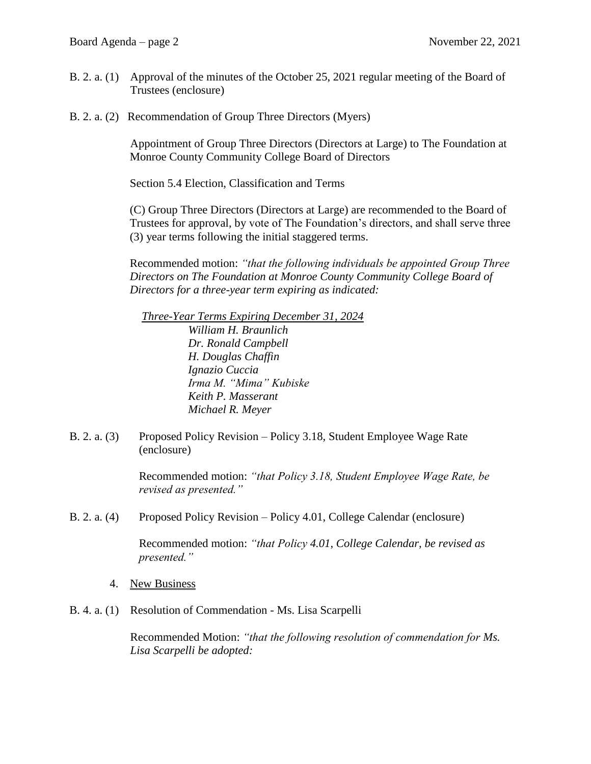- B. 2. a. (1) Approval of the minutes of the October 25, 2021 regular meeting of the Board of Trustees (enclosure)
- B. 2. a. (2) Recommendation of Group Three Directors (Myers)

Appointment of Group Three Directors (Directors at Large) to The Foundation at Monroe County Community College Board of Directors

Section 5.4 Election, Classification and Terms

(C) Group Three Directors (Directors at Large) are recommended to the Board of Trustees for approval, by vote of The Foundation's directors, and shall serve three (3) year terms following the initial staggered terms.

Recommended motion: *"that the following individuals be appointed Group Three Directors on The Foundation at Monroe County Community College Board of Directors for a three-year term expiring as indicated:*

 *Three-Year Terms Expiring December 31, 2024 William H. Braunlich Dr. Ronald Campbell H. Douglas Chaffin Ignazio Cuccia Irma M. "Mima" Kubiske Keith P. Masserant Michael R. Meyer*

B. 2. a. (3) Proposed Policy Revision – Policy 3.18, Student Employee Wage Rate (enclosure)

> Recommended motion: *"that Policy 3.18, Student Employee Wage Rate, be revised as presented."*

B. 2. a. (4) Proposed Policy Revision – Policy 4.01, College Calendar (enclosure)

Recommended motion: *"that Policy 4.01, College Calendar, be revised as presented."* 

- 4. New Business
- B. 4. a. (1) Resolution of Commendation Ms. Lisa Scarpelli

Recommended Motion: *"that the following resolution of commendation for Ms. Lisa Scarpelli be adopted:*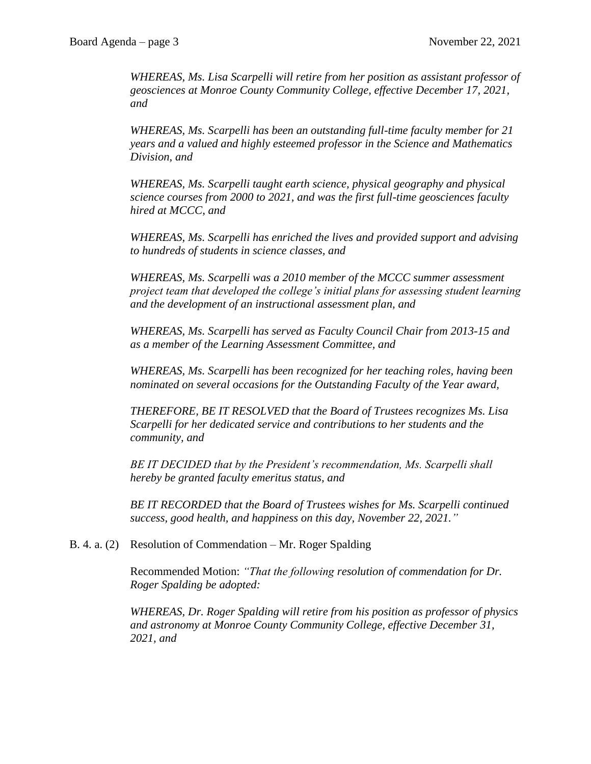*WHEREAS, Ms. Lisa Scarpelli will retire from her position as assistant professor of geosciences at Monroe County Community College, effective December 17, 2021, and* 

*WHEREAS, Ms. Scarpelli has been an outstanding full-time faculty member for 21 years and a valued and highly esteemed professor in the Science and Mathematics Division, and* 

*WHEREAS, Ms. Scarpelli taught earth science, physical geography and physical science courses from 2000 to 2021, and was the first full-time geosciences faculty hired at MCCC, and*

*WHEREAS, Ms. Scarpelli has enriched the lives and provided support and advising to hundreds of students in science classes, and*

*WHEREAS, Ms. Scarpelli was a 2010 member of the MCCC summer assessment project team that developed the college's initial plans for assessing student learning and the development of an instructional assessment plan, and*

*WHEREAS, Ms. Scarpelli has served as Faculty Council Chair from 2013-15 and as a member of the Learning Assessment Committee, and* 

*WHEREAS, Ms. Scarpelli has been recognized for her teaching roles, having been nominated on several occasions for the Outstanding Faculty of the Year award,*

*THEREFORE, BE IT RESOLVED that the Board of Trustees recognizes Ms. Lisa Scarpelli for her dedicated service and contributions to her students and the community, and* 

*BE IT DECIDED that by the President's recommendation, Ms. Scarpelli shall hereby be granted faculty emeritus status, and* 

*BE IT RECORDED that the Board of Trustees wishes for Ms. Scarpelli continued success, good health, and happiness on this day, November 22, 2021."*

# B. 4. a. (2) Resolution of Commendation – Mr. Roger Spalding

Recommended Motion: *"That the following resolution of commendation for Dr. Roger Spalding be adopted:*

*WHEREAS, Dr. Roger Spalding will retire from his position as professor of physics and astronomy at Monroe County Community College, effective December 31, 2021, and*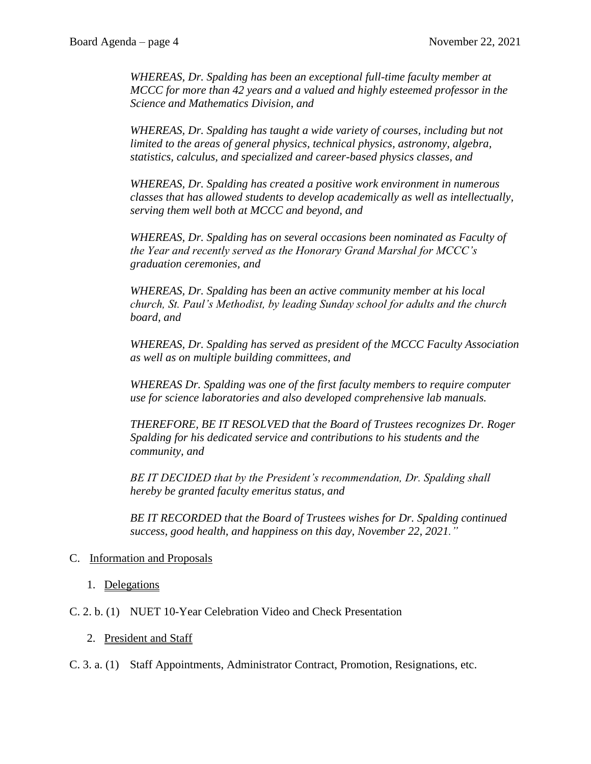*WHEREAS, Dr. Spalding has been an exceptional full-time faculty member at MCCC for more than 42 years and a valued and highly esteemed professor in the Science and Mathematics Division, and*

*WHEREAS, Dr. Spalding has taught a wide variety of courses, including but not limited to the areas of general physics, technical physics, astronomy, algebra, statistics, calculus, and specialized and career-based physics classes, and*

*WHEREAS, Dr. Spalding has created a positive work environment in numerous classes that has allowed students to develop academically as well as intellectually, serving them well both at MCCC and beyond, and*

*WHEREAS, Dr. Spalding has on several occasions been nominated as Faculty of the Year and recently served as the Honorary Grand Marshal for MCCC's graduation ceremonies, and*

*WHEREAS, Dr. Spalding has been an active community member at his local church, St. Paul's Methodist, by leading Sunday school for adults and the church board, and*

*WHEREAS, Dr. Spalding has served as president of the MCCC Faculty Association as well as on multiple building committees, and*

*WHEREAS Dr. Spalding was one of the first faculty members to require computer use for science laboratories and also developed comprehensive lab manuals.* 

*THEREFORE, BE IT RESOLVED that the Board of Trustees recognizes Dr. Roger Spalding for his dedicated service and contributions to his students and the community, and* 

*BE IT DECIDED that by the President's recommendation, Dr. Spalding shall hereby be granted faculty emeritus status, and* 

*BE IT RECORDED that the Board of Trustees wishes for Dr. Spalding continued success, good health, and happiness on this day, November 22, 2021."*

# C. Information and Proposals

- 1. Delegations
- C. 2. b. (1) NUET 10-Year Celebration Video and Check Presentation

## 2. President and Staff

C. 3. a. (1) Staff Appointments, Administrator Contract, Promotion, Resignations, etc.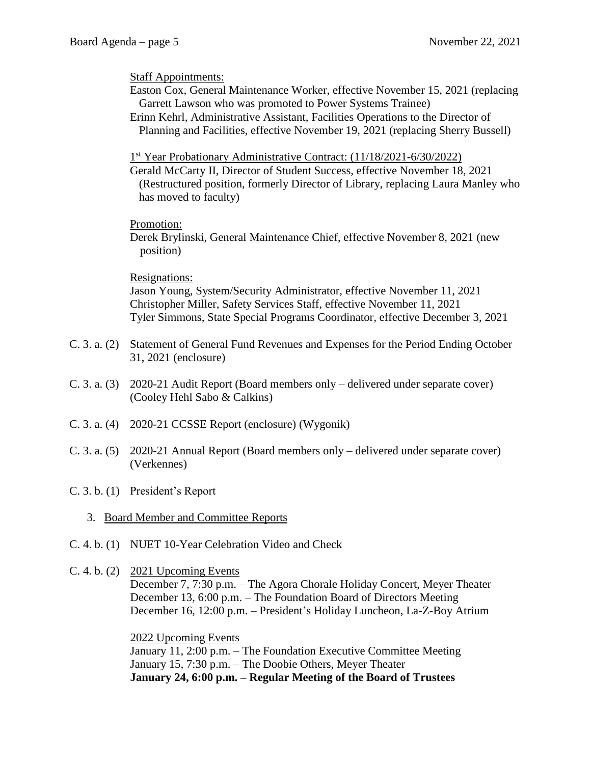Staff Appointments:

- Easton Cox, General Maintenance Worker, effective November 15, 2021 (replacing Garrett Lawson who was promoted to Power Systems Trainee)
- Erinn Kehrl, Administrative Assistant, Facilities Operations to the Director of Planning and Facilities, effective November 19, 2021 (replacing Sherry Bussell)

1<sup>st</sup> Year Probationary Administrative Contract: (11/18/2021-6/30/2022)

Gerald McCarty II, Director of Student Success, effective November 18, 2021 (Restructured position, formerly Director of Library, replacing Laura Manley who has moved to faculty)

## Promotion:

Derek Brylinski, General Maintenance Chief, effective November 8, 2021 (new position)

#### Resignations:

Jason Young, System/Security Administrator, effective November 11, 2021 Christopher Miller, Safety Services Staff, effective November 11, 2021 Tyler Simmons, State Special Programs Coordinator, effective December 3, 2021

- C. 3. a. (2) Statement of General Fund Revenues and Expenses for the Period Ending October 31, 2021 (enclosure)
- C. 3. a. (3) 2020-21 Audit Report (Board members only delivered under separate cover) (Cooley Hehl Sabo & Calkins)
- C. 3. a. (4) 2020-21 CCSSE Report (enclosure) (Wygonik)
- C. 3. a. (5) 2020-21 Annual Report (Board members only delivered under separate cover) (Verkennes)
- C. 3. b. (1) President's Report
	- 3. Board Member and Committee Reports
- C. 4. b. (1) NUET 10-Year Celebration Video and Check
- C. 4. b. (2) 2021 Upcoming Events

December 7, 7:30 p.m. – The Agora Chorale Holiday Concert, Meyer Theater December 13, 6:00 p.m. – The Foundation Board of Directors Meeting December 16, 12:00 p.m. – President's Holiday Luncheon, La-Z-Boy Atrium

#### 2022 Upcoming Events

January 11, 2:00 p.m. – The Foundation Executive Committee Meeting January 15, 7:30 p.m. – The Doobie Others, Meyer Theater **January 24, 6:00 p.m. – Regular Meeting of the Board of Trustees**